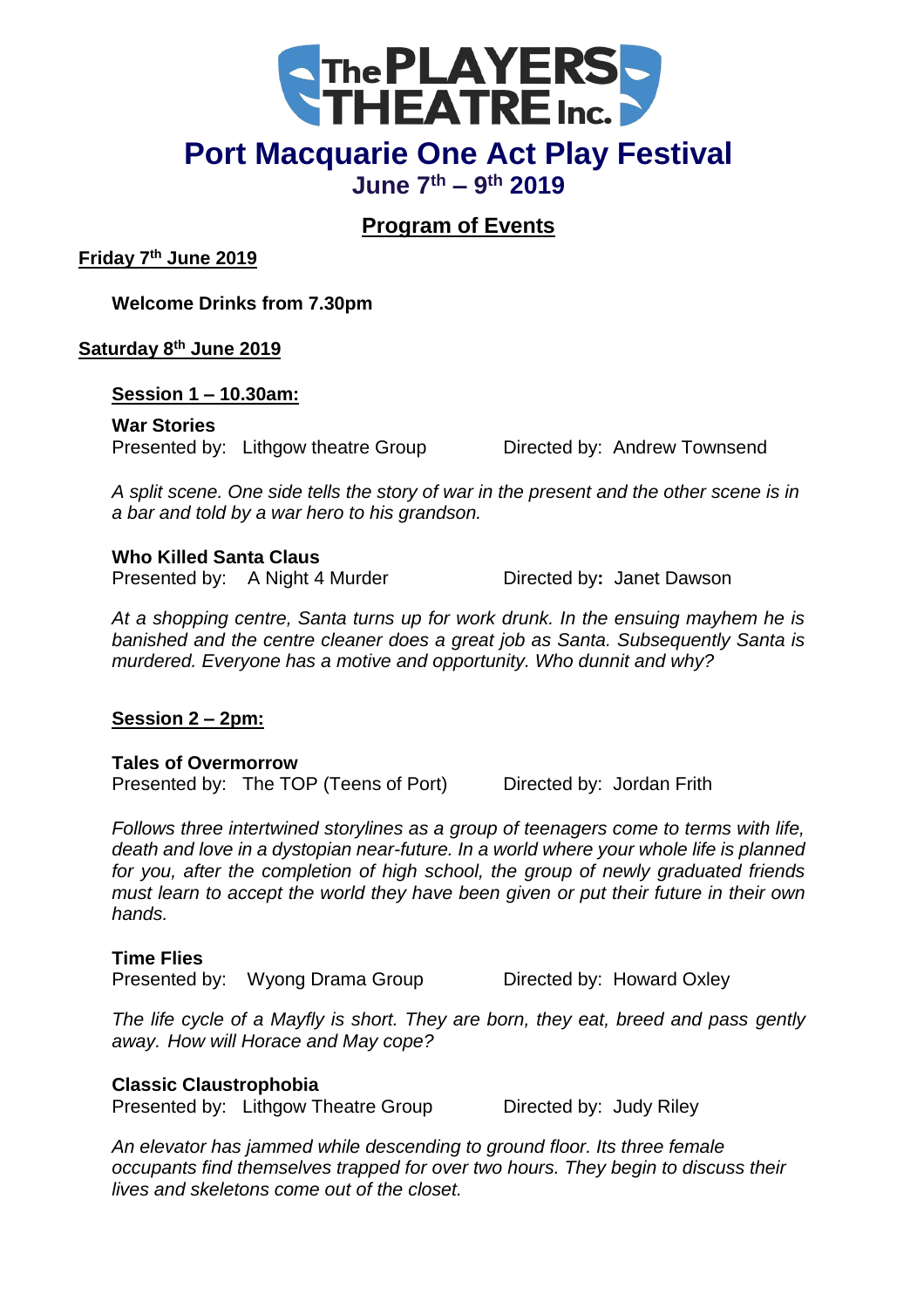

# **Port Macquarie One Act Play Festival**

**June 7th – 9 th 2019**

## **Program of Events**

**Friday 7th June 2019**

**Welcome Drinks from 7.30pm**

**Saturday 8th June 2019**

**Session 1 – 10.30am:**

**War Stories** Presented by: Lithgow theatre Group Directed by: Andrew Townsend

*A split scene. One side tells the story of war in the present and the other scene is in a bar and told by a war hero to his grandson.* 

### **Who Killed Santa Claus**

Presented by: A Night 4 Murder Directed by: Janet Dawson

*At a shopping centre, Santa turns up for work drunk. In the ensuing mayhem he is banished and the centre cleaner does a great job as Santa. Subsequently Santa is murdered. Everyone has a motive and opportunity. Who dunnit and why?*

## **Session 2 – 2pm:**

**Tales of Overmorrow**

Presented by: The TOP (Teens of Port) Directed by: Jordan Frith

*Follows three intertwined storylines as a group of teenagers come to terms with life, death and love in a dystopian near-future. In a world where your whole life is planned for you, after the completion of high school, the group of newly graduated friends must learn to accept the world they have been given or put their future in their own hands.*

## **Time Flies**

Presented by: Wyong Drama Group Directed by: Howard Oxley

*The life cycle of a Mayfly is short. They are born, they eat, breed and pass gently away. How will Horace and May cope?*

## **Classic Claustrophobia**

Presented by: Lithgow Theatre Group Directed by: Judy Riley

*An elevator has jammed while descending to ground floor. Its three female occupants find themselves trapped for over two hours. They begin to discuss their lives and skeletons come out of the closet.*